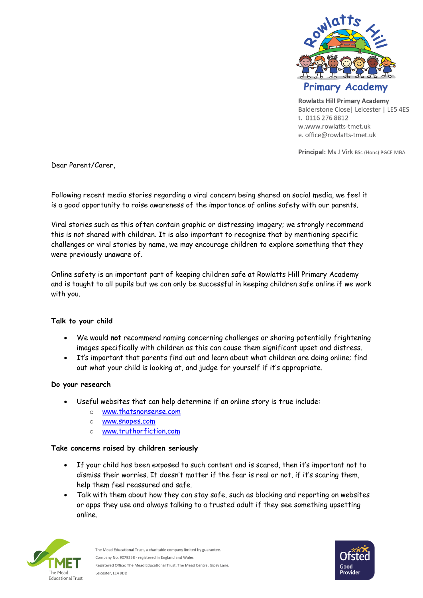

**Rowlatts Hill Primary Academy** Balderstone Close | Leicester | LE5 4ES t. 0116 276 8812 w.www.rowlatts-tmet.uk e. office@rowlatts-tmet.uk

Principal: Ms J Virk BSc (Hons) PGCE MBA

Dear Parent/Carer,

Following recent media stories regarding a viral concern being shared on social media, we feel it is a good opportunity to raise awareness of the importance of online safety with our parents.

Viral stories such as this often contain graphic or distressing imagery; we strongly recommend this is not shared with children. It is also important to recognise that by mentioning specific challenges or viral stories by name, we may encourage children to explore something that they were previously unaware of.

Online safety is an important part of keeping children safe at Rowlatts Hill Primary Academy and is taught to all pupils but we can only be successful in keeping children safe online if we work with you.

## **Talk to your child**

- We would **not** recommend naming concerning challenges or sharing potentially frightening images specifically with children as this can cause them significant upset and distress.
- It's important that parents find out and learn about what children are doing online; find out what your child is looking at, and judge for yourself if it's appropriate.

## **Do your research**

- Useful websites that can help determine if an online story is true include:
	- o [www.thatsnonsense.com](https://www.thatsnonsense.com/)
	- o [www.snopes.com](http://www.snopes.com/)
	- o [www.truthorfiction.com](https://www.truthorfiction.com/)

## **Take concerns raised by children seriously**

- If your child has been exposed to such content and is scared, then it's important not to dismiss their worries. It doesn't matter if the fear is real or not, if it's scaring them, help them feel reassured and safe.
- Talk with them about how they can stay safe, such as blocking and reporting on websites or apps they use and always talking to a trusted adult if they see something upsetting online.